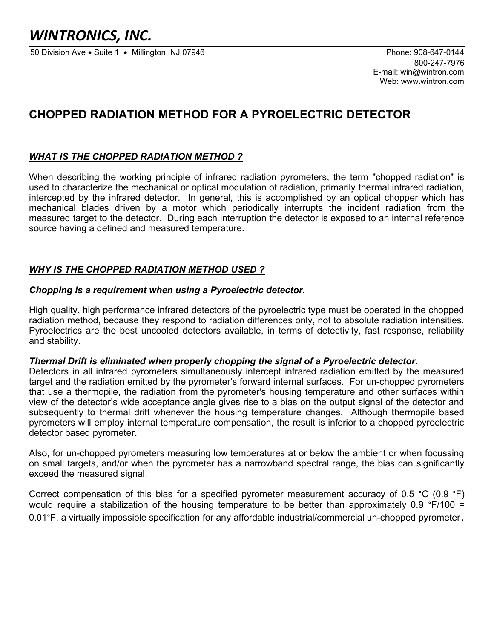# WINTRONICS, INC.

50 Division Ave • Suite 1 • Millington, NJ 07946 Phone: 908-647-0144

800-247-7976 E-mail: win@wintron.com Web: www.wintron.com

# CHOPPED RADIATION METHOD FOR A PYROELECTRIC DETECTOR

# WHAT IS THE CHOPPED RADIATION METHOD ?

When describing the working principle of infrared radiation pyrometers, the term "chopped radiation" is used to characterize the mechanical or optical modulation of radiation, primarily thermal infrared radiation, intercepted by the infrared detector. In general, this is accomplished by an optical chopper which has mechanical blades driven by a motor which periodically interrupts the incident radiation from the measured target to the detector. During each interruption the detector is exposed to an internal reference source having a defined and measured temperature.

# WHY IS THE CHOPPED RADIATION METHOD USED ?

#### Chopping is a requirement when using a Pyroelectric detector.

High quality, high performance infrared detectors of the pyroelectric type must be operated in the chopped radiation method, because they respond to radiation differences only, not to absolute radiation intensities. Pyroelectrics are the best uncooled detectors available, in terms of detectivity, fast response, reliability and stability.

#### Thermal Drift is eliminated when properly chopping the signal of a Pyroelectric detector.

Detectors in all infrared pyrometers simultaneously intercept infrared radiation emitted by the measured target and the radiation emitted by the pyrometer's forward internal surfaces. For un-chopped pyrometers that use a thermopile, the radiation from the pyrometer's housing temperature and other surfaces within view of the detector's wide acceptance angle gives rise to a bias on the output signal of the detector and subsequently to thermal drift whenever the housing temperature changes. Although thermopile based pyrometers will employ internal temperature compensation, the result is inferior to a chopped pyroelectric detector based pyrometer.

Also, for un-chopped pyrometers measuring low temperatures at or below the ambient or when focussing on small targets, and/or when the pyrometer has a narrowband spectral range, the bias can significantly exceed the measured signal.

Correct compensation of this bias for a specified pyrometer measurement accuracy of 0.5 °C (0.9 °F) would require a stabilization of the housing temperature to be better than approximately 0.9 °F/100 = 0.01°F, a virtually impossible specification for any affordable industrial/commercial un-chopped pyrometer.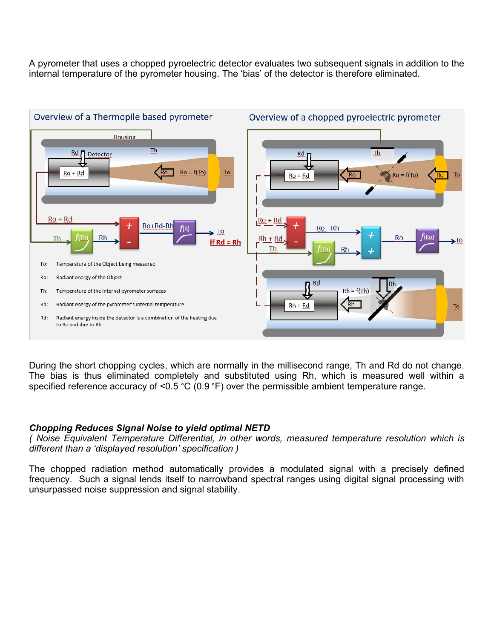A pyrometer that uses a chopped pyroelectric detector evaluates two subsequent signals in addition to the internal temperature of the pyrometer housing. The 'bias' of the detector is therefore eliminated.



During the short chopping cycles, which are normally in the millisecond range, Th and Rd do not change. The bias is thus eliminated completely and substituted using Rh, which is measured well within a specified reference accuracy of <0.5 °C (0.9 °F) over the permissible ambient temperature range.

#### Chopping Reduces Signal Noise to yield optimal NETD

( Noise Equivalent Temperature Differential, in other words, measured temperature resolution which is different than a 'displayed resolution' specification )

The chopped radiation method automatically provides a modulated signal with a precisely defined frequency. Such a signal lends itself to narrowband spectral ranges using digital signal processing with unsurpassed noise suppression and signal stability.